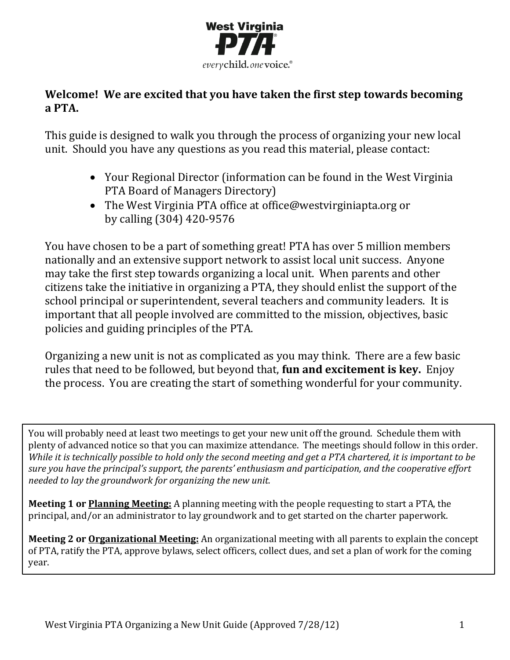

### **Welcome! We are excited that you have taken the first step towards becoming a PTA.**

This guide is designed to walk you through the process of organizing your new local unit. Should you have any questions as you read this material, please contact:

- Your Regional Director (information can be found in the West Virginia PTA Board of Managers Directory)
- The West Virginia PTA office at [office@westvirginiapta.org](mailto:wv_office@pta.org) or by calling (304) 420-9576

You have chosen to be a part of something great! PTA has over 5 million members nationally and an extensive support network to assist local unit success. Anyone may take the first step towards organizing a local unit. When parents and other citizens take the initiative in organizing a PTA, they should enlist the support of the school principal or superintendent, several teachers and community leaders. It is important that all people involved are committed to the mission, objectives, basic policies and guiding principles of the PTA.

Organizing a new unit is not as complicated as you may think. There are a few basic rules that need to be followed, but beyond that, **fun and excitement is key.** Enjoy the process. You are creating the start of something wonderful for your community.

You will probably need at least two meetings to get your new unit off the ground. Schedule them with plenty of advanced notice so that you can maximize attendance. The meetings should follow in this order. *While it is technically possible to hold only the second meeting and get a PTA chartered, it is important to be sure you have the principal's support, the parents' enthusiasm and participation, and the cooperative effort needed to lay the groundwork for organizing the new unit.*

**Meeting 1 or Planning Meeting:** A planning meeting with the people requesting to start a PTA, the principal, and/or an administrator to lay groundwork and to get started on the charter paperwork.

**Meeting 2 or Organizational Meeting:** An organizational meeting with all parents to explain the concept of PTA, ratify the PTA, approve bylaws, select officers, collect dues, and set a plan of work for the coming year.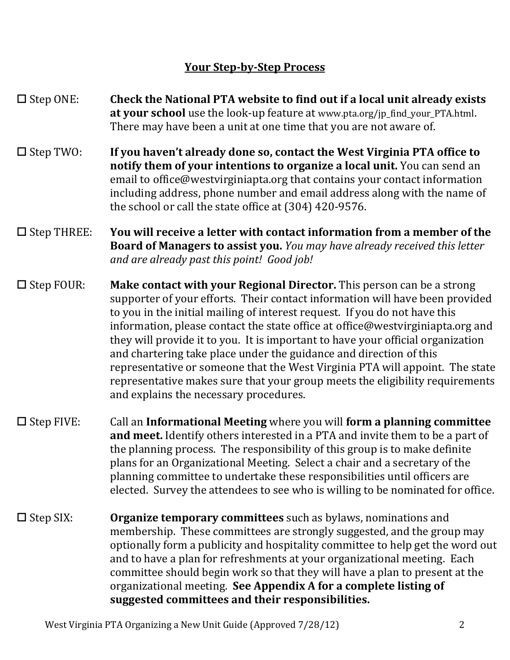## **Your Step-by-Step Process**

- $\Box$  Step ONE: **Check the National PTA website to find out if a local unit already exists at your school** use the look-up feature at www.pta.org/jp\_find\_your\_PTA.html. There may have been a unit at one time that you are not aware of.
- $\square$  Step TWO: **If you haven't already done so, contact the West Virginia PTA office to notify them of your intentions to organize a local unit.** You can send an email to office@westvirginiapta.org that contains your contact information including address, phone number and email address along with the name of the school or call the state office at (304) 420-9576.
- $\square$  Step THREE: **You will receive a letter with contact information from a member of the Board of Managers to assist you.** *You may have already received this letter and are already past this point! Good job!*
- $\square$  Step FOUR: **Make contact with your Regional Director.** This person can be a strong supporter of your efforts. Their contact information will have been provided to you in the initial mailing of interest request. If you do not have this information, please contact the state office at office@westvirginiapta.org and they will provide it to you. It is important to have your official organization and chartering take place under the guidance and direction of this representative or someone that the West Virginia PTA will appoint. The state representative makes sure that your group meets the eligibility requirements and explains the necessary procedures.
- $\square$  Step FIVE: Call an **Informational Meeting** where you will **form a planning committee and meet.** Identify others interested in a PTA and invite them to be a part of the planning process. The responsibility of this group is to make definite plans for an Organizational Meeting. Select a chair and a secretary of the planning committee to undertake these responsibilities until officers are elected. Survey the attendees to see who is willing to be nominated for office.
- $\square$  Step SIX: **Organize temporary committees** such as bylaws, nominations and membership. These committees are strongly suggested, and the group may optionally form a publicity and hospitality committee to help get the word out and to have a plan for refreshments at your organizational meeting. Each committee should begin work so that they will have a plan to present at the organizational meeting. **See Appendix A for a complete listing of suggested committees and their responsibilities.**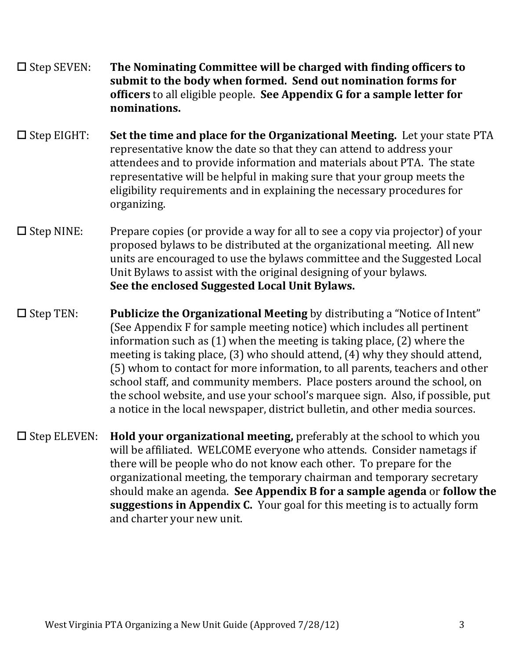- Step SEVEN: **The Nominating Committee will be charged with finding officers to submit to the body when formed. Send out nomination forms for officers** to all eligible people. **See Appendix G for a sample letter for nominations.**
- □ Step EIGHT: Set the time and place for the Organizational Meeting. Let your state PTA representative know the date so that they can attend to address your attendees and to provide information and materials about PTA. The state representative will be helpful in making sure that your group meets the eligibility requirements and in explaining the necessary procedures for organizing.
- $\square$  Step NINE: Prepare copies (or provide a way for all to see a copy via projector) of your proposed bylaws to be distributed at the organizational meeting. All new units are encouraged to use the bylaws committee and the Suggested Local Unit Bylaws to assist with the original designing of your bylaws. **See the enclosed Suggested Local Unit Bylaws.**
- Step TEN: **Publicize the Organizational Meeting** by distributing a "Notice of Intent" (See Appendix F for sample meeting notice) which includes all pertinent information such as (1) when the meeting is taking place, (2) where the meeting is taking place, (3) who should attend, (4) why they should attend, (5) whom to contact for more information, to all parents, teachers and other school staff, and community members. Place posters around the school, on the school website, and use your school's marquee sign. Also, if possible, put a notice in the local newspaper, district bulletin, and other media sources.
- □ Step ELEVEN: **Hold your organizational meeting,** preferably at the school to which you will be affiliated. WELCOME everyone who attends. Consider nametags if there will be people who do not know each other. To prepare for the organizational meeting, the temporary chairman and temporary secretary should make an agenda. **See Appendix B for a sample agenda** or **follow the suggestions in Appendix C.** Your goal for this meeting is to actually form and charter your new unit.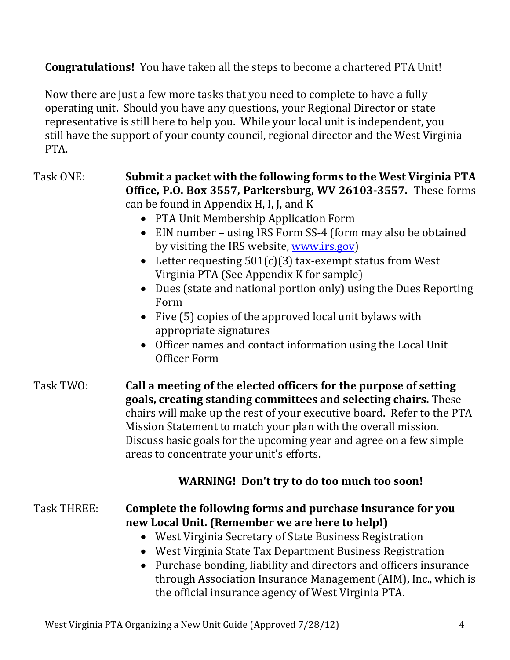**Congratulations!** You have taken all the steps to become a chartered PTA Unit!

Now there are just a few more tasks that you need to complete to have a fully operating unit. Should you have any questions, your Regional Director or state representative is still here to help you. While your local unit is independent, you still have the support of your county council, regional director and the West Virginia PTA.

| Task TWO:<br>Call a meeting of the elected officers for the purpose of setting<br>goals, creating standing committees and selecting chairs. These<br>chairs will make up the rest of your executive board. Refer to the PTA<br>Mission Statement to match your plan with the overall mission. |
|-----------------------------------------------------------------------------------------------------------------------------------------------------------------------------------------------------------------------------------------------------------------------------------------------|
| Discuss basic goals for the upcoming year and agree on a few simple<br>areas to concentrate your unit's efforts.<br><b>WARNING!</b> Don't try to do too much too soon!                                                                                                                        |
| <b>Task THREE:</b><br>Complete the following forms and purchase insurance for you<br>new Local Unit. (Remember we are here to help!)                                                                                                                                                          |

- West Virginia Secretary of State Business Registration
- West Virginia State Tax Department Business Registration
- Purchase bonding, liability and directors and officers insurance through Association Insurance Management (AIM), Inc., which is the official insurance agency of West Virginia PTA.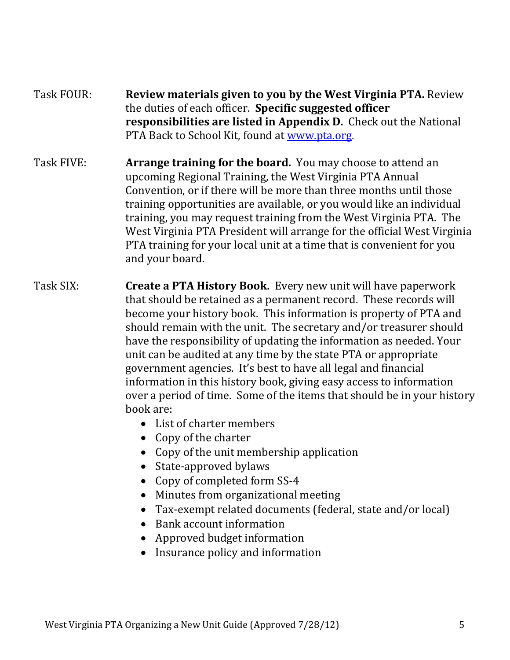### Task FOUR: **Review materials given to you by the West Virginia PTA.** Review the duties of each officer. **Specific suggested officer responsibilities are listed in Appendix D.** Check out the National PTA Back to School Kit, found at [www.pta.org.](http://www.pta.org/)

- Task FIVE: **Arrange training for the board.** You may choose to attend an upcoming Regional Training, the West Virginia PTA Annual Convention, or if there will be more than three months until those training opportunities are available, or you would like an individual training, you may request training from the West Virginia PTA. The West Virginia PTA President will arrange for the official West Virginia PTA training for your local unit at a time that is convenient for you and your board.
- Task SIX: **Create a PTA History Book.** Every new unit will have paperwork that should be retained as a permanent record. These records will become your history book. This information is property of PTA and should remain with the unit. The secretary and/or treasurer should have the responsibility of updating the information as needed. Your unit can be audited at any time by the state PTA or appropriate government agencies. It's best to have all legal and financial information in this history book, giving easy access to information over a period of time. Some of the items that should be in your history book are:
	- List of charter members
	- Copy of the charter
	- Copy of the unit membership application
	- State-approved bylaws
	- Copy of completed form SS-4
	- Minutes from organizational meeting
	- Tax-exempt related documents (federal, state and/or local)
	- Bank account information
	- Approved budget information
	- Insurance policy and information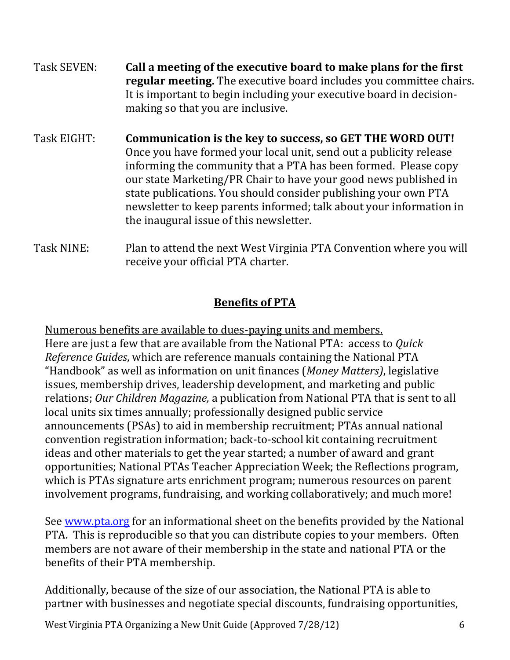| Task SEVEN: | Call a meeting of the executive board to make plans for the first<br>regular meeting. The executive board includes you committee chairs.<br>It is important to begin including your executive board in decision-<br>making so that you are inclusive.                                                                                                                                                                                                       |
|-------------|-------------------------------------------------------------------------------------------------------------------------------------------------------------------------------------------------------------------------------------------------------------------------------------------------------------------------------------------------------------------------------------------------------------------------------------------------------------|
| Task EIGHT: | Communication is the key to success, so GET THE WORD OUT!<br>Once you have formed your local unit, send out a publicity release<br>informing the community that a PTA has been formed. Please copy<br>our state Marketing/PR Chair to have your good news published in<br>state publications. You should consider publishing your own PTA<br>newsletter to keep parents informed; talk about your information in<br>the inaugural issue of this newsletter. |
| Task NINE:  | Plan to attend the next West Virginia PTA Convention where you will                                                                                                                                                                                                                                                                                                                                                                                         |

## **Benefits of PTA**

receive your official PTA charter.

Numerous benefits are available to dues-paying units and members. Here are just a few that are available from the National PTA: access to *Quick Reference Guides*, which are reference manuals containing the National PTA "Handbook" as well as information on unit finances (*Money Matters)*, legislative issues, membership drives, leadership development, and marketing and public relations; *Our Children Magazine,* a publication from National PTA that is sent to all local units six times annually; professionally designed public service announcements (PSAs) to aid in membership recruitment; PTAs annual national convention registration information; back-to-school kit containing recruitment ideas and other materials to get the year started; a number of award and grant opportunities; National PTAs Teacher Appreciation Week; the Reflections program, which is PTAs signature arts enrichment program; numerous resources on parent involvement programs, fundraising, and working collaboratively; and much more!

See [www.pta.org](http://www.pta.org/) for an informational sheet on the benefits provided by the National PTA. This is reproducible so that you can distribute copies to your members. Often members are not aware of their membership in the state and national PTA or the benefits of their PTA membership.

Additionally, because of the size of our association, the National PTA is able to partner with businesses and negotiate special discounts, fundraising opportunities,

West Virginia PTA Organizing a New Unit Guide (Approved 7/28/12) 6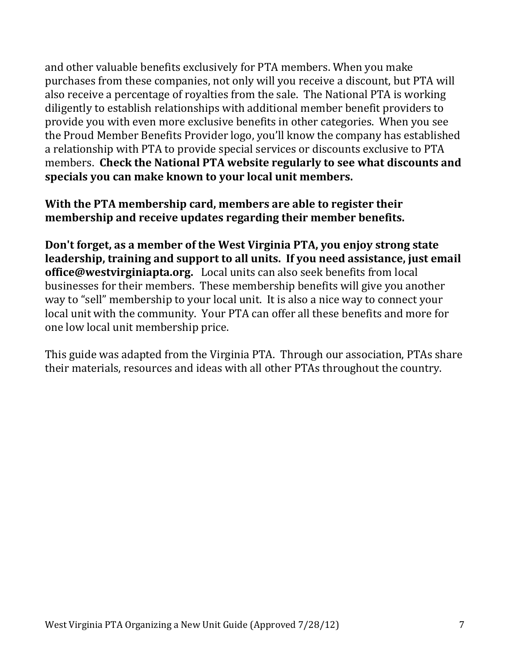and other valuable benefits exclusively for PTA members. When you make purchases from these companies, not only will you receive a discount, but PTA will also receive a percentage of royalties from the sale. The National PTA is working diligently to establish relationships with additional member benefit providers to provide you with even more exclusive benefits in other categories. When you see the Proud Member Benefits Provider logo, you'll know the company has established a relationship with PTA to provide special services or discounts exclusive to PTA members. **Check the National PTA website regularly to see what discounts and specials you can make known to your local unit members.**

**With the PTA membership card, members are able to register their membership and receive updates regarding their member benefits.** 

**Don't forget, as a member of the West Virginia PTA, you enjoy strong state leadership, training and support to all units. If you need assistance, just email office@westvirginiapta.org.** Local units can also seek benefits from local businesses for their members. These membership benefits will give you another way to "sell" membership to your local unit. It is also a nice way to connect your local unit with the community. Your PTA can offer all these benefits and more for one low local unit membership price.

This guide was adapted from the Virginia PTA. Through our association, PTAs share their materials, resources and ideas with all other PTAs throughout the country.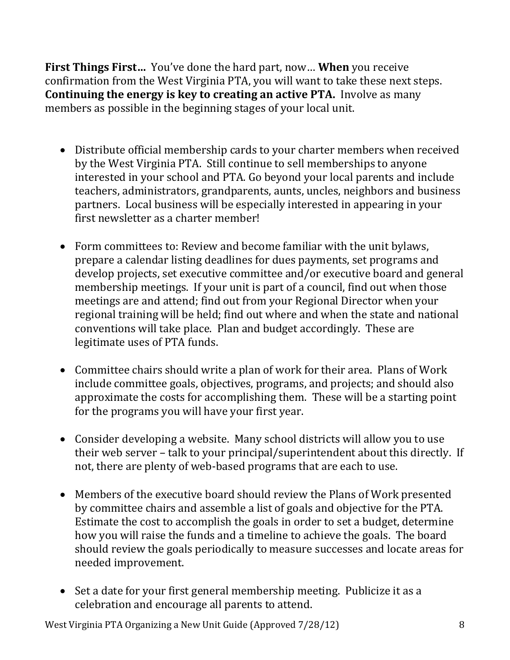**First Things First…** You've done the hard part, now… **When** you receive confirmation from the West Virginia PTA, you will want to take these next steps. **Continuing the energy is key to creating an active PTA.** Involve as many members as possible in the beginning stages of your local unit.

- Distribute official membership cards to your charter members when received by the West Virginia PTA. Still continue to sell memberships to anyone interested in your school and PTA. Go beyond your local parents and include teachers, administrators, grandparents, aunts, uncles, neighbors and business partners. Local business will be especially interested in appearing in your first newsletter as a charter member!
- Form committees to: Review and become familiar with the unit bylaws, prepare a calendar listing deadlines for dues payments, set programs and develop projects, set executive committee and/or executive board and general membership meetings. If your unit is part of a council, find out when those meetings are and attend; find out from your Regional Director when your regional training will be held; find out where and when the state and national conventions will take place. Plan and budget accordingly. These are legitimate uses of PTA funds.
- Committee chairs should write a plan of work for their area. Plans of Work include committee goals, objectives, programs, and projects; and should also approximate the costs for accomplishing them. These will be a starting point for the programs you will have your first year.
- Consider developing a website. Many school districts will allow you to use their web server – talk to your principal/superintendent about this directly. If not, there are plenty of web-based programs that are each to use.
- Members of the executive board should review the Plans of Work presented by committee chairs and assemble a list of goals and objective for the PTA. Estimate the cost to accomplish the goals in order to set a budget, determine how you will raise the funds and a timeline to achieve the goals. The board should review the goals periodically to measure successes and locate areas for needed improvement.
- Set a date for your first general membership meeting. Publicize it as a celebration and encourage all parents to attend.

West Virginia PTA Organizing a New Unit Guide (Approved 7/28/12) 8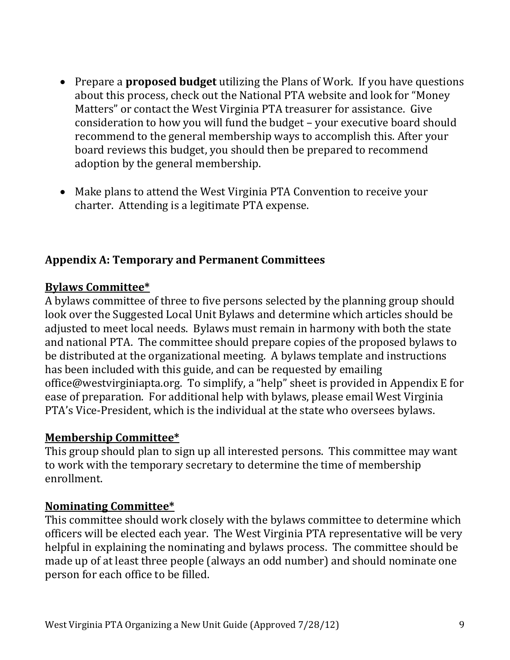- Prepare a **proposed budget** utilizing the Plans of Work. If you have questions about this process, check out the National PTA website and look for "Money Matters" or contact the West Virginia PTA treasurer for assistance. Give consideration to how you will fund the budget – your executive board should recommend to the general membership ways to accomplish this. After your board reviews this budget, you should then be prepared to recommend adoption by the general membership.
- Make plans to attend the West Virginia PTA Convention to receive your charter. Attending is a legitimate PTA expense.

#### **Appendix A: Temporary and Permanent Committees**

#### **Bylaws Committee\***

A bylaws committee of three to five persons selected by the planning group should look over the Suggested Local Unit Bylaws and determine which articles should be adjusted to meet local needs. Bylaws must remain in harmony with both the state and national PTA. The committee should prepare copies of the proposed bylaws to be distributed at the organizational meeting. A bylaws template and instructions has been included with this guide, and can be requested by emailing office@westvirginiapta.org. To simplify, a "help" sheet is provided in Appendix E for ease of preparation. For additional help with bylaws, please email West Virginia PTA's Vice-President, which is the individual at the state who oversees bylaws.

#### **Membership Committee\***

This group should plan to sign up all interested persons. This committee may want to work with the temporary secretary to determine the time of membership enrollment.

#### **Nominating Committee\***

This committee should work closely with the bylaws committee to determine which officers will be elected each year. The West Virginia PTA representative will be very helpful in explaining the nominating and bylaws process. The committee should be made up of at least three people (always an odd number) and should nominate one person for each office to be filled.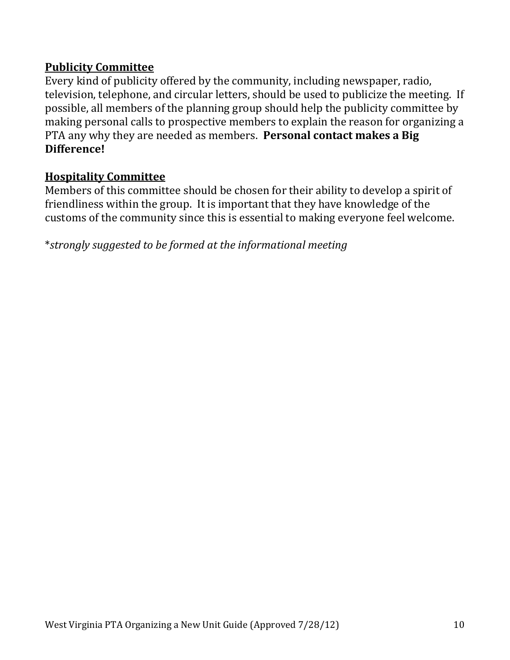### **Publicity Committee**

Every kind of publicity offered by the community, including newspaper, radio, television, telephone, and circular letters, should be used to publicize the meeting. If possible, all members of the planning group should help the publicity committee by making personal calls to prospective members to explain the reason for organizing a PTA any why they are needed as members. **Personal contact makes a Big Difference!**

#### **Hospitality Committee**

Members of this committee should be chosen for their ability to develop a spirit of friendliness within the group. It is important that they have knowledge of the customs of the community since this is essential to making everyone feel welcome.

\**strongly suggested to be formed at the informational meeting*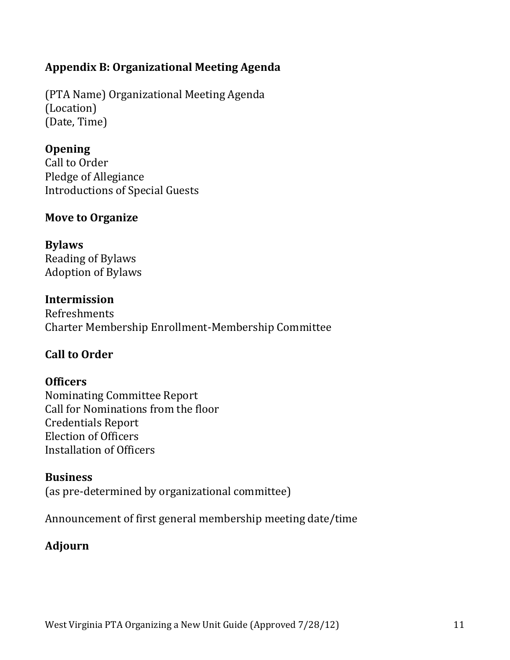## **Appendix B: Organizational Meeting Agenda**

(PTA Name) Organizational Meeting Agenda (Location) (Date, Time)

## **Opening**

Call to Order Pledge of Allegiance Introductions of Special Guests

## **Move to Organize**

## **Bylaws**

Reading of Bylaws Adoption of Bylaws

## **Intermission**

Refreshments Charter Membership Enrollment-Membership Committee

## **Call to Order**

## **Officers**

Nominating Committee Report Call for Nominations from the floor Credentials Report Election of Officers Installation of Officers

## **Business**

(as pre-determined by organizational committee)

Announcement of first general membership meeting date/time

## **Adjourn**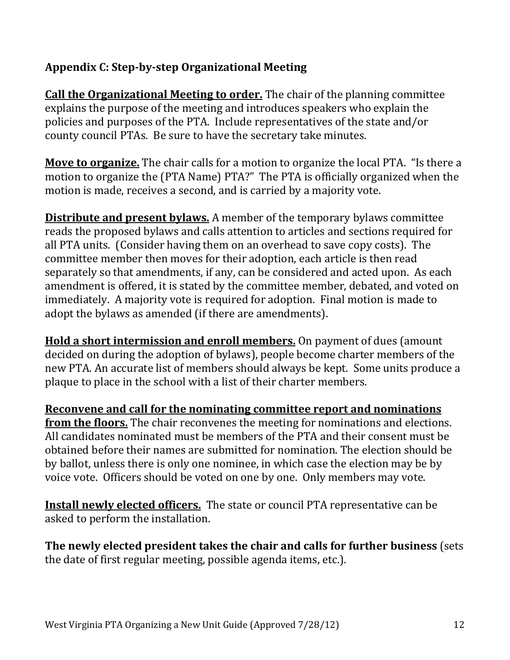## **Appendix C: Step-by-step Organizational Meeting**

**Call the Organizational Meeting to order.** The chair of the planning committee explains the purpose of the meeting and introduces speakers who explain the policies and purposes of the PTA. Include representatives of the state and/or county council PTAs. Be sure to have the secretary take minutes.

**Move to organize.** The chair calls for a motion to organize the local PTA. "Is there a motion to organize the (PTA Name) PTA?" The PTA is officially organized when the motion is made, receives a second, and is carried by a majority vote.

**Distribute and present bylaws.** A member of the temporary bylaws committee reads the proposed bylaws and calls attention to articles and sections required for all PTA units. (Consider having them on an overhead to save copy costs). The committee member then moves for their adoption, each article is then read separately so that amendments, if any, can be considered and acted upon. As each amendment is offered, it is stated by the committee member, debated, and voted on immediately. A majority vote is required for adoption. Final motion is made to adopt the bylaws as amended (if there are amendments).

**Hold a short intermission and enroll members.** On payment of dues (amount decided on during the adoption of bylaws), people become charter members of the new PTA. An accurate list of members should always be kept. Some units produce a plaque to place in the school with a list of their charter members.

**Reconvene and call for the nominating committee report and nominations from the floors.** The chair reconvenes the meeting for nominations and elections. All candidates nominated must be members of the PTA and their consent must be obtained before their names are submitted for nomination. The election should be by ballot, unless there is only one nominee, in which case the election may be by voice vote. Officers should be voted on one by one. Only members may vote.

**Install newly elected officers.** The state or council PTA representative can be asked to perform the installation.

**The newly elected president takes the chair and calls for further business** (sets the date of first regular meeting, possible agenda items, etc.).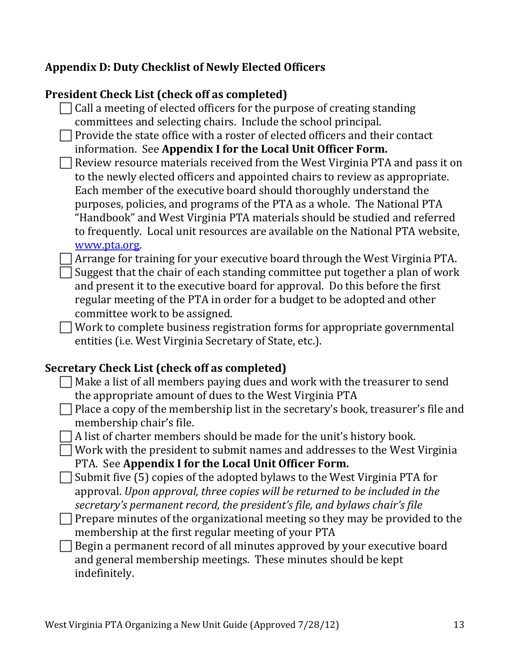## **Appendix D: Duty Checklist of Newly Elected Officers**

### **President Check List (check off as completed)**

- $\Box$  Call a meeting of elected officers for the purpose of creating standing committees and selecting chairs. Include the school principal.
- $\Box$  Provide the state office with a roster of elected officers and their contact information. See **Appendix I for the Local Unit Officer Form.**
- $\Box$  Review resource materials received from the West Virginia PTA and pass it on to the newly elected officers and appointed chairs to review as appropriate. Each member of the executive board should thoroughly understand the purposes, policies, and programs of the PTA as a whole. The National PTA "Handbook" and West Virginia PTA materials should be studied and referred to frequently. Local unit resources are available on the National PTA website, [www.pta.org.](http://www.pta.org/)
- $\Box$  Arrange for training for your executive board through the West Virginia PTA.  $\Box$  Suggest that the chair of each standing committee put together a plan of work and present it to the executive board for approval. Do this before the first regular meeting of the PTA in order for a budget to be adopted and other committee work to be assigned.
	- Work to complete business registration forms for appropriate governmental entities (i.e. West Virginia Secretary of State, etc.).

#### **Secretary Check List (check off as completed)**

- $\Box$  Make a list of all members paying dues and work with the treasurer to send the appropriate amount of dues to the West Virginia PTA
- $\Box$  Place a copy of the membership list in the secretary's book, treasurer's file and membership chair's file.
	- A list of charter members should be made for the unit's history book.
	- Work with the president to submit names and addresses to the West Virginia PTA. See **Appendix I for the Local Unit Officer Form.**
- $\Box$  Submit five (5) copies of the adopted bylaws to the West Virginia PTA for approval. *Upon approval, three copies will be returned to be included in the secretary's permanent record, the president's file, and bylaws chair's file*
- $\Box$  Prepare minutes of the organizational meeting so they may be provided to the membership at the first regular meeting of your PTA
- $\Box$  Begin a permanent record of all minutes approved by your executive board and general membership meetings. These minutes should be kept indefinitely.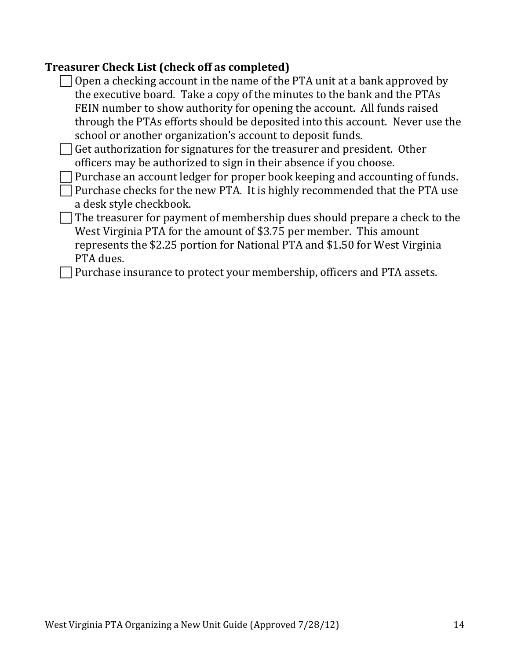### **Treasurer Check List (check off as completed)**

- $\Box$  Open a checking account in the name of the PTA unit at a bank approved by the executive board. Take a copy of the minutes to the bank and the PTAs FEIN number to show authority for opening the account. All funds raised through the PTAs efforts should be deposited into this account. Never use the school or another organization's account to deposit funds.  $\Box$  Get authorization for signatures for the treasurer and president. Other officers may be authorized to sign in their absence if you choose. Purchase an account ledger for proper book keeping and accounting of funds.  $\Box$  Purchase checks for the new PTA. It is highly recommended that the PTA use a desk style checkbook.
- $\Box$  The treasurer for payment of membership dues should prepare a check to the West Virginia PTA for the amount of \$3.75 per member. This amount represents the \$2.25 portion for National PTA and \$1.50 for West Virginia PTA dues.

 $\Box$  Purchase insurance to protect your membership, officers and PTA assets.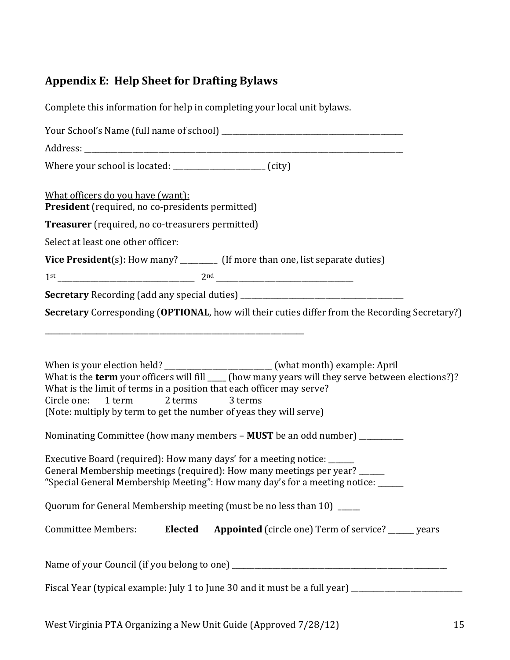# **Appendix E: Help Sheet for Drafting Bylaws**

| Complete this information for help in completing your local unit bylaws.                                                                                                                                                                                                                                                                                                                                                                                 |
|----------------------------------------------------------------------------------------------------------------------------------------------------------------------------------------------------------------------------------------------------------------------------------------------------------------------------------------------------------------------------------------------------------------------------------------------------------|
|                                                                                                                                                                                                                                                                                                                                                                                                                                                          |
|                                                                                                                                                                                                                                                                                                                                                                                                                                                          |
| Where your school is located: _____________________ (city)                                                                                                                                                                                                                                                                                                                                                                                               |
| What officers do you have (want):<br><b>President</b> (required, no co-presidents permitted)                                                                                                                                                                                                                                                                                                                                                             |
| Treasurer (required, no co-treasurers permitted)                                                                                                                                                                                                                                                                                                                                                                                                         |
| Select at least one other officer:                                                                                                                                                                                                                                                                                                                                                                                                                       |
| Vice President(s): How many? _________ (If more than one, list separate duties)                                                                                                                                                                                                                                                                                                                                                                          |
| Secretary Recording (add any special duties) ___________________________________                                                                                                                                                                                                                                                                                                                                                                         |
| Secretary Corresponding (OPTIONAL, how will their cuties differ from the Recording Secretary?)                                                                                                                                                                                                                                                                                                                                                           |
| When is your election held? ________________________ (what month) example: April<br>What is the term your officers will fill ____ (how many years will they serve between elections?)?<br>What is the limit of terms in a position that each officer may serve?<br>Circle one: 1 term 2 terms 3 terms<br>(Note: multiply by term to get the number of yeas they will serve)<br>Nominating Committee (how many members - MUST be an odd number) _________ |
| Executive Board (required): How many days' for a meeting notice: ______<br>General Membership meetings (required): How many meetings per year? ______<br>"Special General Membership Meeting": How many day's for a meeting notice: _____                                                                                                                                                                                                                |
| Quorum for General Membership meeting (must be no less than 10) ____                                                                                                                                                                                                                                                                                                                                                                                     |
| <b>Elected</b><br><b>Appointed</b> (circle one) Term of service? _____ years<br><b>Committee Members:</b>                                                                                                                                                                                                                                                                                                                                                |
|                                                                                                                                                                                                                                                                                                                                                                                                                                                          |
| Fiscal Year (typical example: July 1 to June 30 and it must be a full year) _______________________                                                                                                                                                                                                                                                                                                                                                      |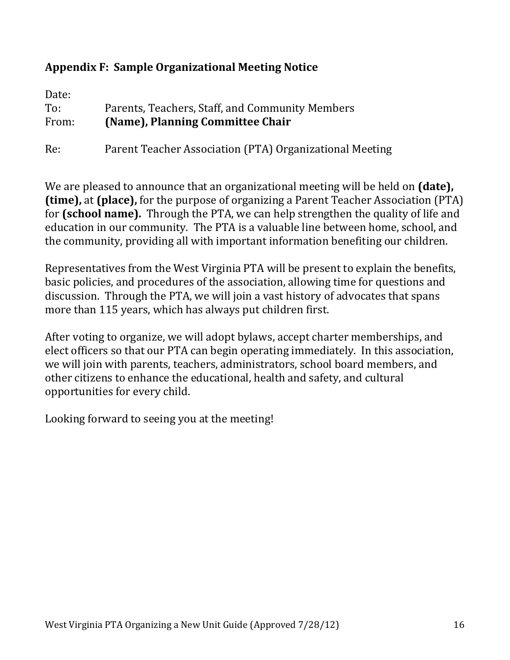### **Appendix F: Sample Organizational Meeting Notice**

| Date:<br>To: | Parents, Teachers, Staff, and Community Members         |
|--------------|---------------------------------------------------------|
| From:        | (Name), Planning Committee Chair                        |
| Re:          | Parent Teacher Association (PTA) Organizational Meeting |

We are pleased to announce that an organizational meeting will be held on **(date), (time),** at **(place),** for the purpose of organizing a Parent Teacher Association (PTA) for **(school name).** Through the PTA, we can help strengthen the quality of life and education in our community. The PTA is a valuable line between home, school, and the community, providing all with important information benefiting our children.

Representatives from the West Virginia PTA will be present to explain the benefits, basic policies, and procedures of the association, allowing time for questions and discussion. Through the PTA, we will join a vast history of advocates that spans more than 115 years, which has always put children first.

After voting to organize, we will adopt bylaws, accept charter memberships, and elect officers so that our PTA can begin operating immediately. In this association, we will join with parents, teachers, administrators, school board members, and other citizens to enhance the educational, health and safety, and cultural opportunities for every child.

Looking forward to seeing you at the meeting!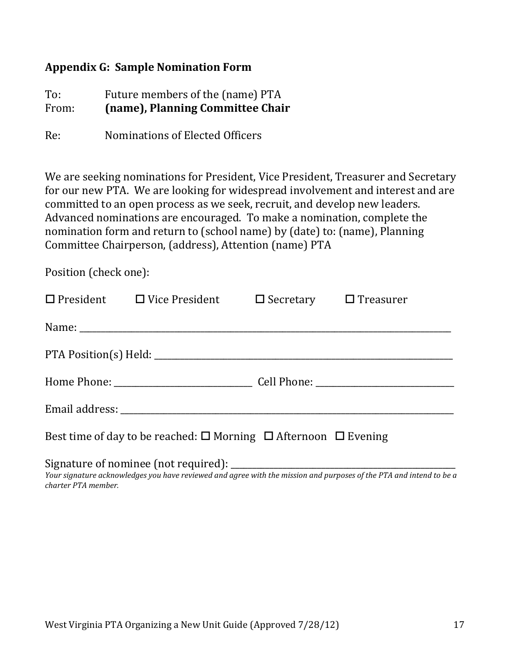#### **Appendix G: Sample Nomination Form**

To: Future members of the (name) PTA From: **(name), Planning Committee Chair**

Re: Nominations of Elected Officers

We are seeking nominations for President, Vice President, Treasurer and Secretary for our new PTA. We are looking for widespread involvement and interest and are committed to an open process as we seek, recruit, and develop new leaders. Advanced nominations are encouraged. To make a nomination, complete the nomination form and return to (school name) by (date) to: (name), Planning Committee Chairperson, (address), Attention (name) PTA

Position (check one):

|                                                                                         | $\Box$ President $\Box$ Vice President $\Box$ Secretary $\Box$ Treasurer |  |  |
|-----------------------------------------------------------------------------------------|--------------------------------------------------------------------------|--|--|
|                                                                                         |                                                                          |  |  |
|                                                                                         |                                                                          |  |  |
|                                                                                         |                                                                          |  |  |
|                                                                                         |                                                                          |  |  |
| Best time of day to be reached: $\square$ Morning $\square$ Afternoon $\square$ Evening |                                                                          |  |  |
|                                                                                         | Signature of nominee (not required):                                     |  |  |

*Your signature acknowledges you have reviewed and agree with the mission and purposes of the PTA and intend to be a charter PTA member.*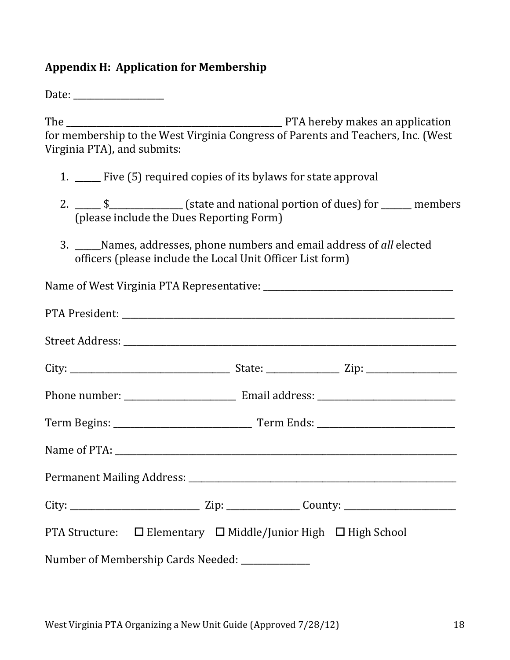### **Appendix H: Application for Membership**

Date: \_\_\_\_\_\_\_\_\_\_\_\_\_\_\_\_\_\_\_\_\_

The \_\_\_\_\_\_\_\_\_\_\_\_\_\_\_\_\_\_\_\_\_\_\_\_\_\_\_\_\_\_\_\_\_\_\_\_\_\_\_\_\_\_\_\_\_\_\_\_\_\_ PTA hereby makes an application for membership to the West Virginia Congress of Parents and Teachers, Inc. (West Virginia PTA), and submits:

- 1. \_\_\_\_\_\_ Five (5) required copies of its bylaws for state approval
- 2. \_\_\_\_\_\_ \$\_\_\_\_\_\_\_\_\_\_\_\_\_\_\_\_\_ (state and national portion of dues) for \_\_\_\_\_\_\_ members (please include the Dues Reporting Form)
- 3. \_\_\_\_\_\_Names, addresses, phone numbers and email address of *all* elected officers (please include the Local Unit Officer List form)

| PTA Structure: □ Elementary □ Middle/Junior High □ High School |  |
|----------------------------------------------------------------|--|
| Number of Membership Cards Needed: ____________                |  |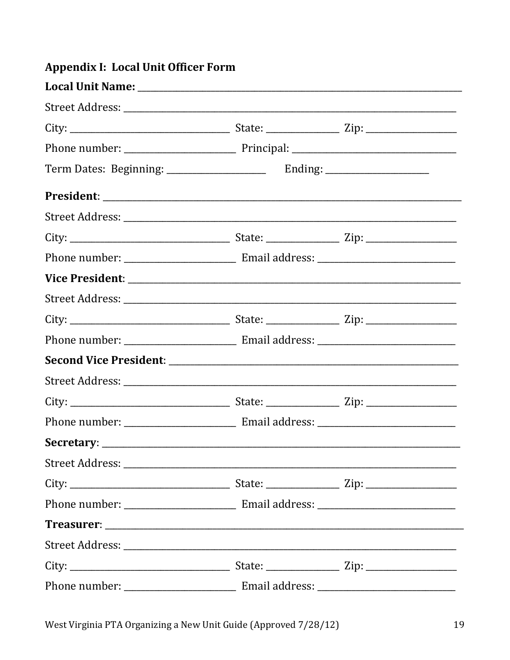| Appenuix I: Local Unit Unicel Form |  |  |
|------------------------------------|--|--|
|                                    |  |  |
|                                    |  |  |
|                                    |  |  |
|                                    |  |  |
|                                    |  |  |
|                                    |  |  |
|                                    |  |  |
|                                    |  |  |
|                                    |  |  |
|                                    |  |  |
|                                    |  |  |
|                                    |  |  |
|                                    |  |  |
|                                    |  |  |
|                                    |  |  |
|                                    |  |  |
|                                    |  |  |
|                                    |  |  |
|                                    |  |  |
|                                    |  |  |
|                                    |  |  |
|                                    |  |  |
|                                    |  |  |
|                                    |  |  |
|                                    |  |  |

#### Annendix I: Local Unit Officer Form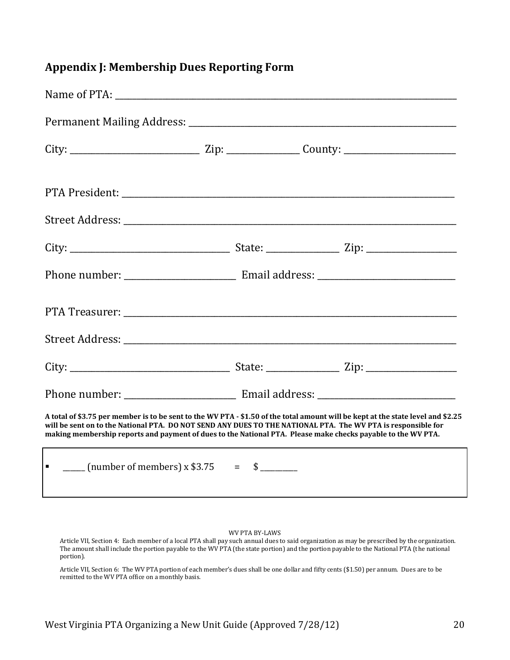#### **Appendix J: Membership Dues Reporting Form**

| A total of \$3.75 per member is to be sent to the WV PTA - \$1.50 of the total amount will be kept at the state level and \$2.25<br>will be sent on to the National PTA. DO NOT SEND ANY DUES TO THE NATIONAL PTA. The WV PTA is responsible for<br>making membership reports and payment of dues to the National PTA. Please make checks payable to the WV PTA. |  |  |
|------------------------------------------------------------------------------------------------------------------------------------------------------------------------------------------------------------------------------------------------------------------------------------------------------------------------------------------------------------------|--|--|
| $\frac{1}{2}$ (number of members) x \$3.75 = \$                                                                                                                                                                                                                                                                                                                  |  |  |

WV PTA BY-LAWS

Article VII, Section 4: Each member of a local PTA shall pay such annual dues to said organization as may be prescribed by the organization. The amount shall include the portion payable to the WV PTA (the state portion) and the portion payable to the National PTA (the national portion).

Article VII, Section 6: The WV PTA portion of each member's dues shall be one dollar and fifty cents (\$1.50) per annum. Dues are to be remitted to the WV PTA office on a monthly basis.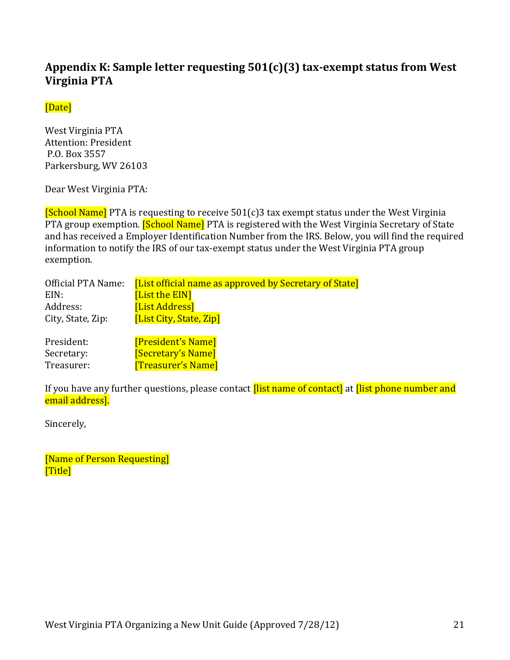### **Appendix K: Sample letter requesting 501(c)(3) tax-exempt status from West Virginia PTA**

#### [Date]

West Virginia PTA Attention: President P.O. Box 3557 Parkersburg, WV 26103

Dear West Virginia PTA:

 $[School Name]$  PTA is requesting to receive 501(c)3 tax exempt status under the West Virginia PTA group exemption. **[School Name]** PTA is registered with the West Virginia Secretary of State and has received a Employer Identification Number from the IRS. Below, you will find the required information to notify the IRS of our tax-exempt status under the West Virginia PTA group exemption.

| Official PTA Name: | <b>[List official name as approved by Secretary of State]</b> |
|--------------------|---------------------------------------------------------------|
| EIN:               | [List the EIN]                                                |
| Address:           | [List Address]                                                |
| City, State, Zip:  | [List City, State, Zip]                                       |
|                    |                                                               |

| President: | [President's Name]        |
|------------|---------------------------|
| Secretary: | <b>[Secretary's Name]</b> |
| Treasurer: | <b>Treasurer's Name</b>   |

If you have any further questions, please contact *[list name of contact]* at *[list phone number and* email address].

Sincerely,

[Name of Person Requesting] [Title]